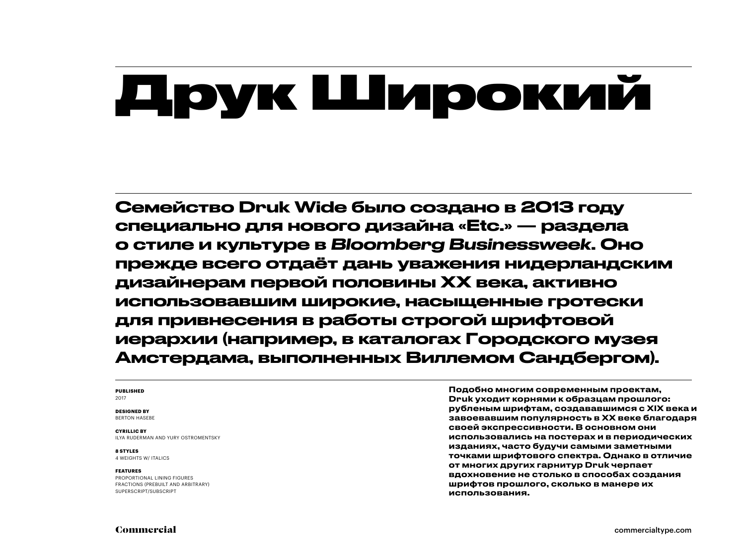## Друк Широкий

Семейство Druk Wide было создано в 2013 году специально для нового дизайна «Etc.» — раздела о стиле и культуре в *Bloomberg Businessweek*. Оно прежде всего отдаёт дань уважения нидерландским дизайнерам первой половины XX века, активно использовавшим широкие, насыщенные гротески для привнесения в работы строгой шрифтовой иерархии (например, в каталогах Городского музея Амстердама, выполненных Виллемом Сандбергом).

### **PUBLISHED** 2017

### **DESIGNED BY**

BERTON HASEBE

**CYRILLIC BY**  ILYA RUDERMAN AND YURY OSTROMENTSKY

**8 STYLES** 4 WEIGHTS W/ ITALICS

### **FEATURES**

PROPORTIONAL LINING FIGURES FRACTIONS (PREBUILT AND ARBITRARY) SUPERSCRIPT/SUBSCRIPT

Подобно многим современным проектам, Druk уходит корнями к образцам прошлого: рубленым шрифтам, создававшимся с XIX века и завоевавшим популярность в XX веке благодаря своей экспрессивности. В основном они использовались на постерах и в периодических изданиях, часто будучи самыми заметными точками шрифтового спектра. Однако в отличие от многих других гарнитур Druk черпает вдохновение не столько в способах создания шрифтов прошлого, сколько в манере их использования.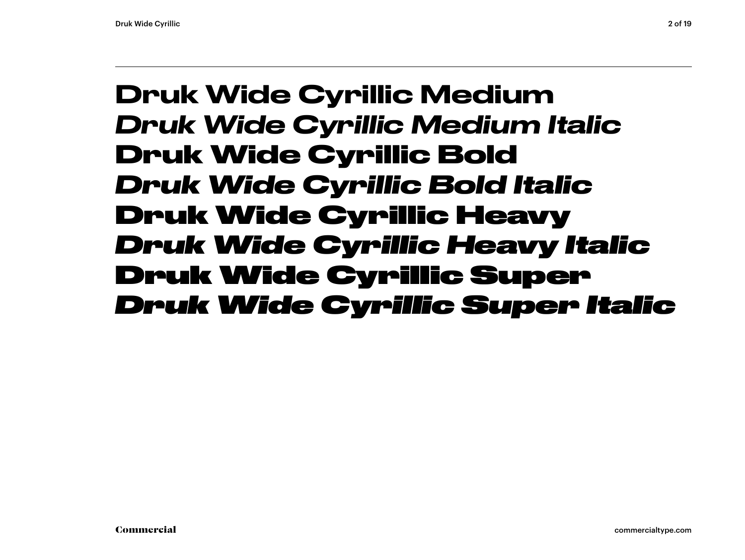### Druk Wide Cyrillic Medium *Druk Wide Cyrillic Medium Italic* **Druk Wide Cyrillic Bold** *Druk Wide Cyrillic Bold Italic* Druk Wide Cyrillic Heavy *Druk Wide Cyrillic Heavy Italic* Druk Wide Cyrillic Super *Druk Wide Cyrillic Super Italic*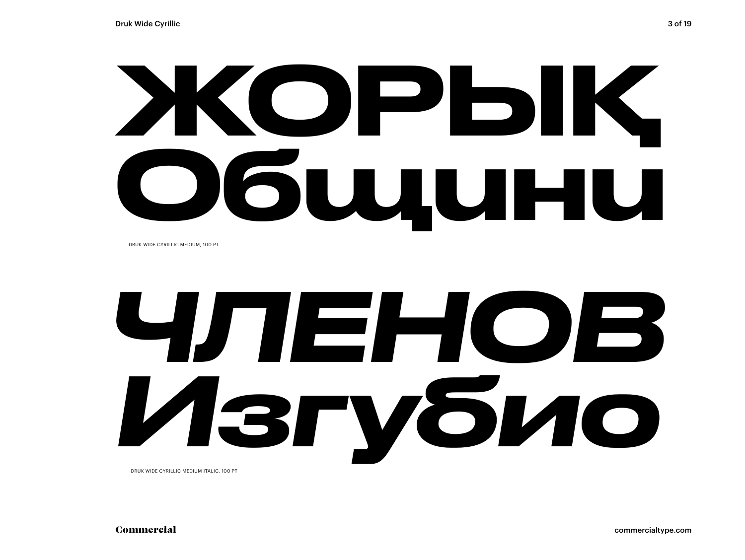# ЖОРЫҚ Общини

DRUK WIDE CYRILLIC MEDIUM, 100 PT

# *ЧЛЕНОВ Изгубио*

DRUK WIDE CYRILLIC MEDIUM ITALIC, 100 PT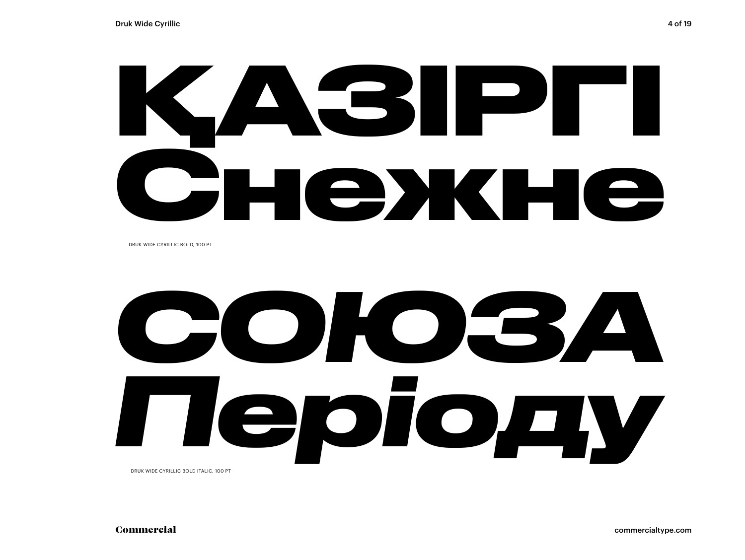# **ҚАЗІРГІ Снежне**

DRUK WIDE CYRILLIC BOLD, 100 PT

*СОЮЗА Періоду* DRUK WIDE CYRILLIC BOLD ITALIC, 100 PT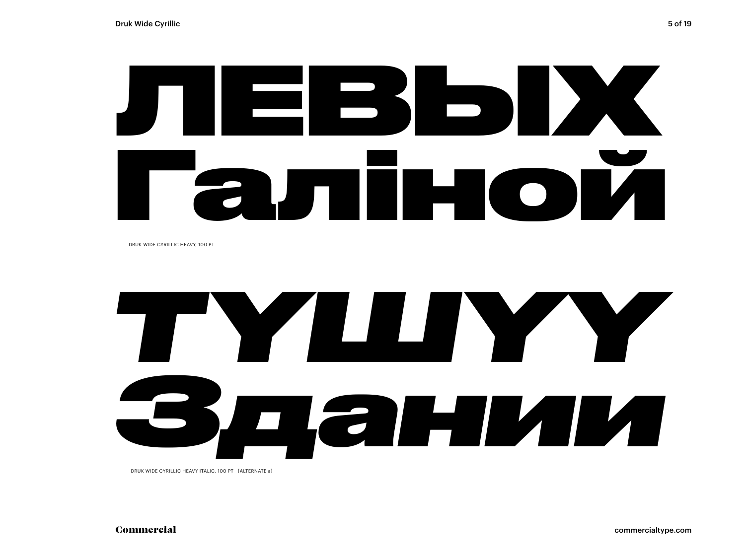

DRUK WIDE CYRILLIC HEAVY, 100 PT

# *ТҮШҮҮ Здании*

DRUK WIDE CYRILLIC HEAVY ITALIC, 100 PT [ALTERNATE a]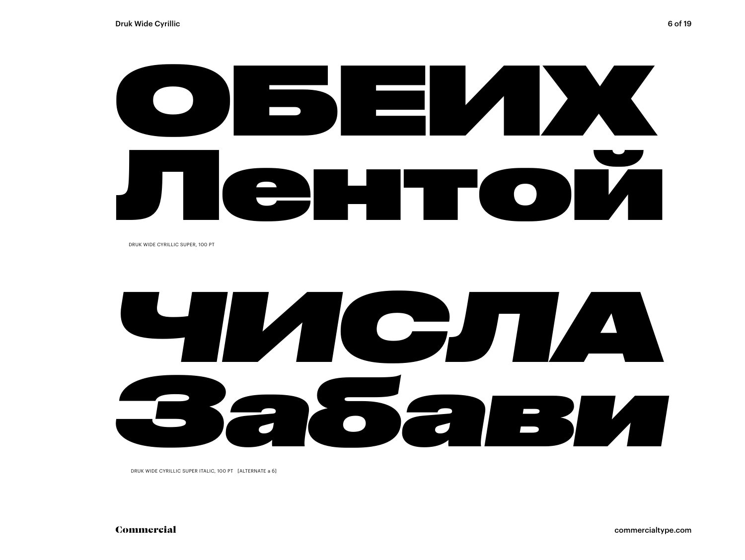# TI CHIT OI

DRUK WIDE CYRILLIC SUPER, 100 PT

# B 2628

DRUK WIDE CYRILLIC SUPER ITALIC, 100 PT [ALTERNATE a 6]

Commercial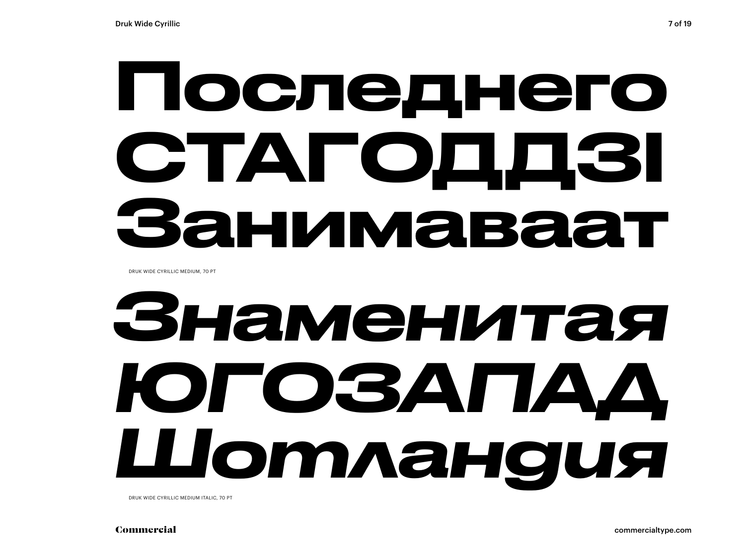## Последнего СТАГОДДЗІ Занимаваат

DRUK WIDE CYRILLIC MEDIUM, 70 PT

## *Знаменитая ЮГОЗАПАД Шотландия*

DRUK WIDE CYRILLIC MEDIUM ITALIC, 70 PT

Commercial commercialtype.com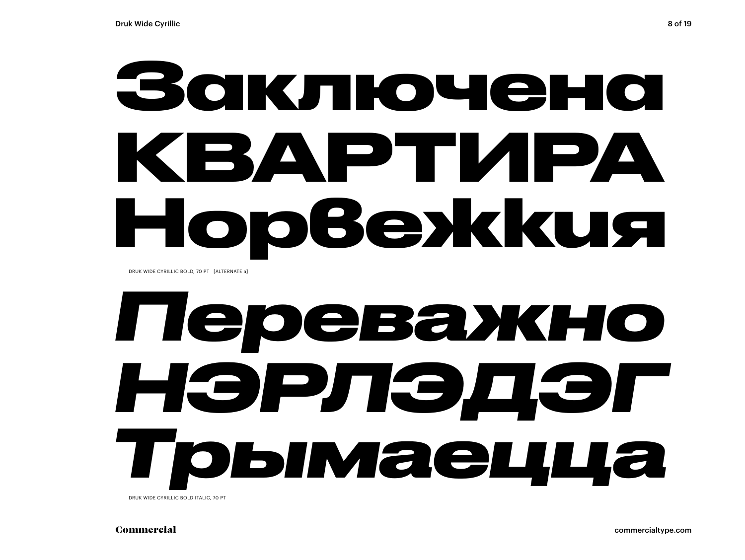## **Заключена КВАРТИРА Норвежкия**

DRUK WIDE CYRILLIC BOLD, 70 PT [ALTERNATE a]

## *Переважно НЭРЛЭДЭГ Трымаецца*

DRUK WIDE CYRILLIC BOLD ITALIC, 70 PT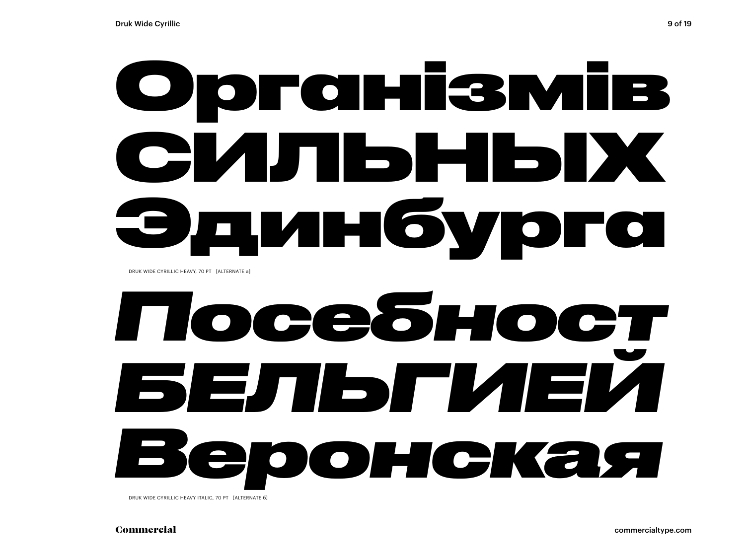## Організмів СИЛЬНЫХ Эдинбурга

DRUK WIDE CYRILLIC HEAVY, 70 PT [ALTERNATE a]

## *Посебност БЕЛЬГИЕЙ Веронская*

DRUK WIDE CYRILLIC HEAVY ITALIC, 70 PT [ALTERNATE 6]

Commercial commercialtype.com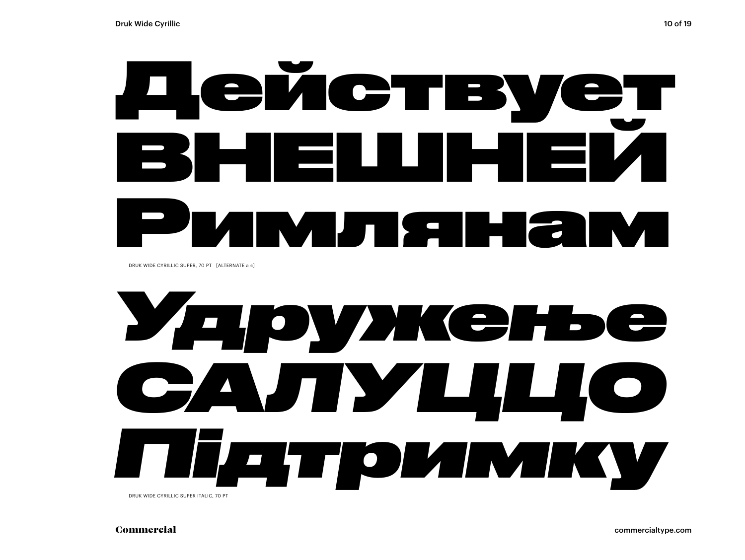

DRUK WIDE CYRILLIC SUPER, 70 PT [ALTERNATE a a]



Commercial

commercialtype.com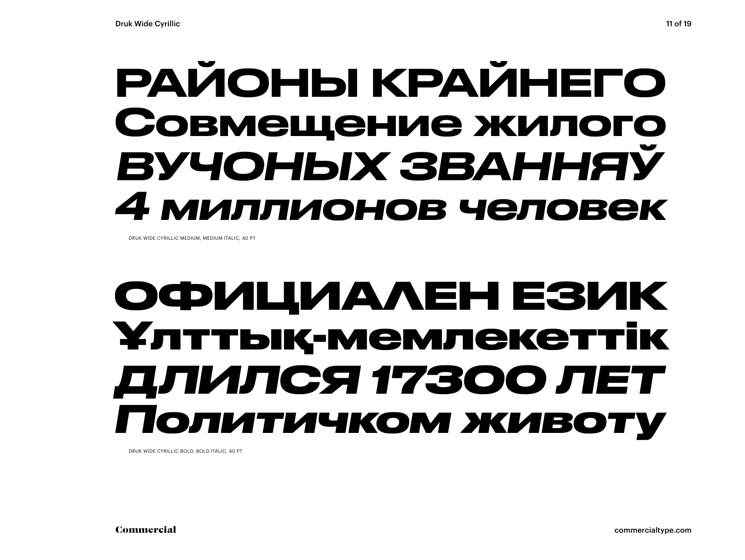### РАЙОНЫ КРАЙНЕГО Совмещение жилого ВУЧОНЫХ ЗВАННЯЎ 4 миллионов человек

DRUK WIDE CYRILLIC MEDIUM MEDIUM ITALIC 40 RT

### ОФИЦИАЛЕН ЕЗИК Ұлттық-мемлекеттік ДЛИЛСЯ 17300 ЛЕТ **Іолитичком животу**

DRUK WIDE CYRILLIC BOLD, BOLD ITALIC, 40 PT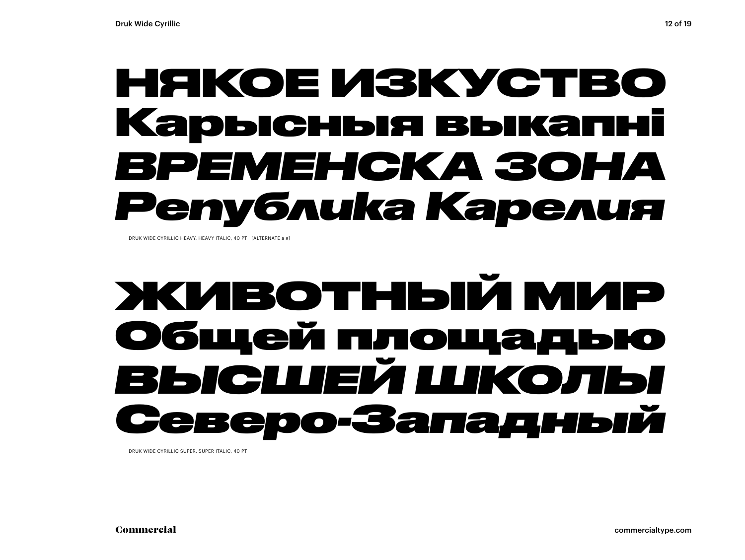### НЯКОЕ ИЗКУСТВО Карысныя выкапні *ВРЕМЕНСКА ЗОНА Република Карелия*

DRUK WIDE CYRILLIC HEAVY, HEAVY ITALIC, 40 PT. [ALTERNATE a g]

### ЖИВОТНЫЙ МИР Общей площадью *ВЫСШЕЙ ШКОЛЫ Северо-Западный*

DRUK WIDE CYRILLIC SUPER, SUPER ITALIC, 40 PT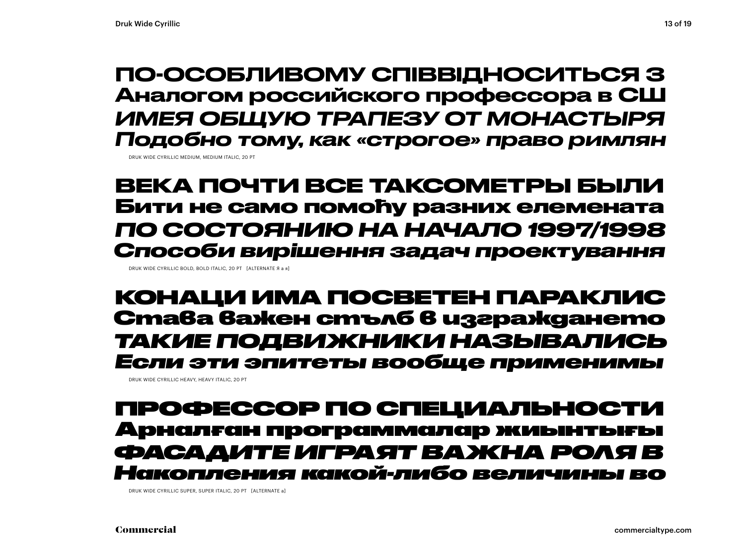### ПО-ОСОБЛИВОМУ СПІВВІДНОСИТЬСЯ З Аналогом российского профессора в СШ ИМЕЯ ОБЩУЮ ТРАПЕЗУ ОТ МОНАСТЫРЯ Подобно тому, как «строгое» право римлян

DRUK WIDE CYRILLIC MEDIUM, MEDIUM ITALIC, 20 PT

ВЕКА ПОЧТИ ВСЕ ТАКСОМЕТРЫ БЫЛИ Бити не само помоћу разних елемената ПО СОСТОЯНИЮ НА НАЧАЛО 1997/1998 Способи вирішення задач проектування

DRUK WIDE CYRILLIC BOLD, BOLD ITALIC, 20 PT [ALTERNATE Я а я]

КОНАЦИ ИМА ПОСВЕТЕН ПАРАКЛИС Става важен стълб в изграждането ТАКИЕ ПОДВИЖНИКИ НАЗЫВАЛИСЬ Если эти эпитеты вообще применимы

DRUK WIDE CYRILLIC HEAVY, HEAVY ITALIC, 20 PT

### ПРОФЕССОР ПО СПЕЦИАЛЬНОСТИ Арналған программалар жиынтығы ФАСААИТЕ ИГРАЯТ ВАЖНА РОЛЯ В пения какой-либо величины во

DRUK WIDE CYRILLIC SUPER, SUPER ITALIC, 20 PT [ALTERNATE a]

Commercial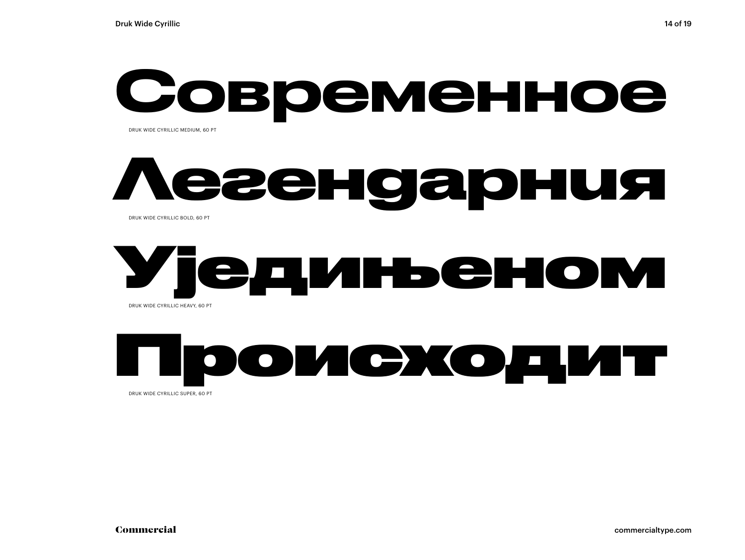## Современное

DRUK WIDE CYRILLIC MEDIUM, 60 PT

### **Легендарния** DRUK WIDE CYRILLIC BOLD, 60 PT

### Уједињеном DRUK WIDE CYRILLIC HEAVY, 60 PT

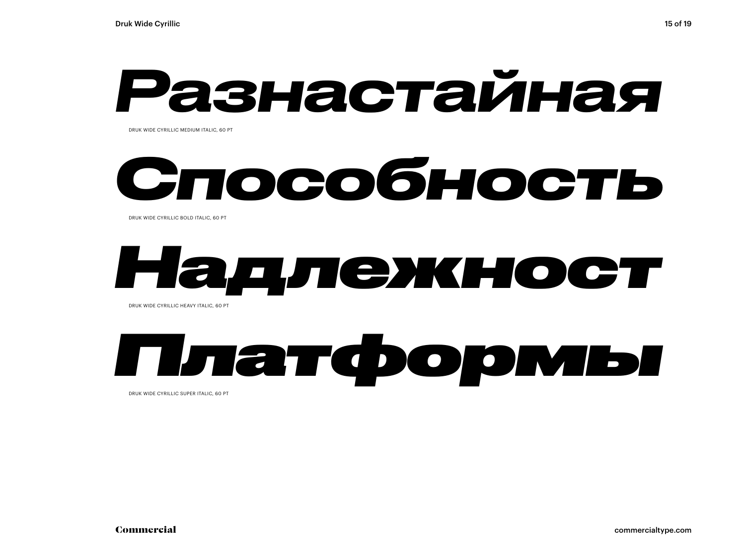## *Разнастайная*

DRUK WIDE CYRILLIC MEDIUM ITALIC, 60 PT

## *Способность*

DRUK WIDE CYRILLIC BOLD ITALIC, 60 PT

## *Надлежност*

DRUK WIDE CYRILLIC HEAVY ITALIC, 60 PT

### *Платформы* DRUK WIDE CYRILLIC SUPER ITALIC, 60 PT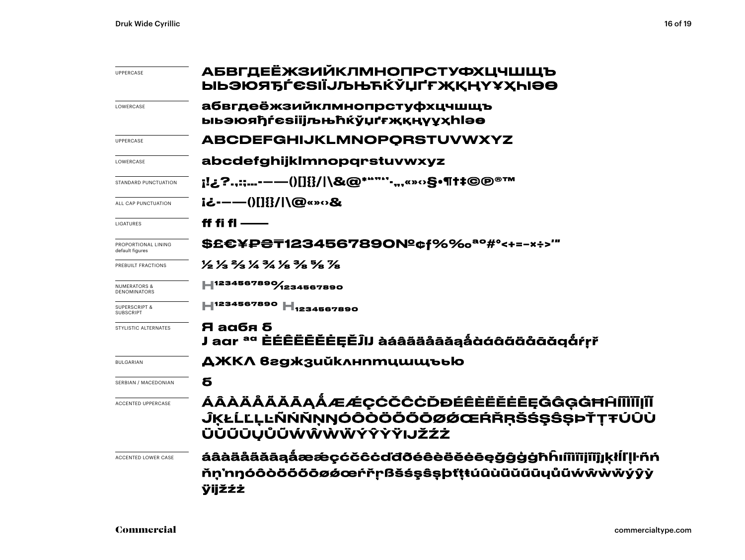| <b>UPPERCASE</b>                               | АБВГДЕЁЖЗИЙКЛМНОПРСТУФХЦЧШЩЪ<br><b>ЫЬЭЮЯЂЃЄЅІЇЈЉЊЋЌЎЏҐҒЖҚҢҮҰҲҺІӘӨ</b>                                                   |  |  |  |
|------------------------------------------------|-------------------------------------------------------------------------------------------------------------------------|--|--|--|
| LOWERCASE                                      | абвгдеёжзийклмнопрстуфхцчшщъ<br><b>ыьэюяђѓеѕіїјљњћќўџґғҗқңүұҳһlәө</b>                                                   |  |  |  |
| UPPERCASE                                      | <b>ABCDEFGHIJKLMNOPORSTUVWXYZ</b>                                                                                       |  |  |  |
| LOWERCASE                                      | abcdefghijklmnopqrstuvwxyz                                                                                              |  |  |  |
| STANDARD PUNCTUATION                           | <u>;!¿?.,:;-——()[]{}/ </u> \&@*""'''-",«»⇔§•¶†‡©©®™                                                                     |  |  |  |
| ALL CAP PUNCTUATION                            | i¿-----()[]{}/ \@«»o&                                                                                                   |  |  |  |
| LIGATURES                                      | ff fi fl $-\!\!-\!\!-$                                                                                                  |  |  |  |
| PROPORTIONAL LINING<br>default figures         | \$£€¥₽₴₸1234567890№¢f%‰ª°#°<+=-×÷>'"                                                                                    |  |  |  |
| PREBUILT FRACTIONS                             | 1/2 1/3 2/3 1/4 1/8 1/8 1/8 1/8                                                                                         |  |  |  |
| <b>NUMERATORS &amp;</b><br><b>DENOMINATORS</b> | 1234567890/1234567890                                                                                                   |  |  |  |
| <b>SUPERSCRIPT &amp;</b><br>SUBSCRIPT          | H <sub>1234567890</sub> H <sub>1234567890</sub>                                                                         |  |  |  |
| STYLISTIC ALTERNATES                           | Я аабя б<br>J aar <sup>aa</sup> ÈÉÊËËĔĔĖĘĚĴIJ àáâääåāǎąåàáâãäååāàǎqåŕṛř                                                 |  |  |  |
| <b>BULGARIAN</b>                               | ДЖКЛ вгджзийклнптцшщъью                                                                                                 |  |  |  |
| SERBIAN / MACEDONIAN                           | б                                                                                                                       |  |  |  |
| <b>ACCENTED UPPERCASE</b>                      | ÁÂÀÄÅÄĂĀĄÅÆÆÇĆČĈĊĎĐÉÊÈËĖĒĘĞĜĢĠĦĤĨĨĬĪIJĨĬ<br><b>ĴĶŁĹĽĻĿÑŃŇŅŊÓÔŎŎŎŎŌØØŒŔŘŖŠŚŞŜSÞŤŢŦÚÛÙ</b><br><b>ÜŬŨŪŲŮŨŴŴŴŴÝŶŶŸIJŽŹŻ</b> |  |  |  |
| <b>ACCENTED LOWER CASE</b>                     | áâàäåããāąåææçćčĉċďđðéêèëĕėēęğĝġġħĥıíîìïīįĩĭĵjķłĺľḷŀñń<br>ňn'nŋóôòööööøøœŕřṛßšśşŝṣþťṭŧúûùüŭűūyůũẃŵẁẅýŷỳ<br>ÿijžźż        |  |  |  |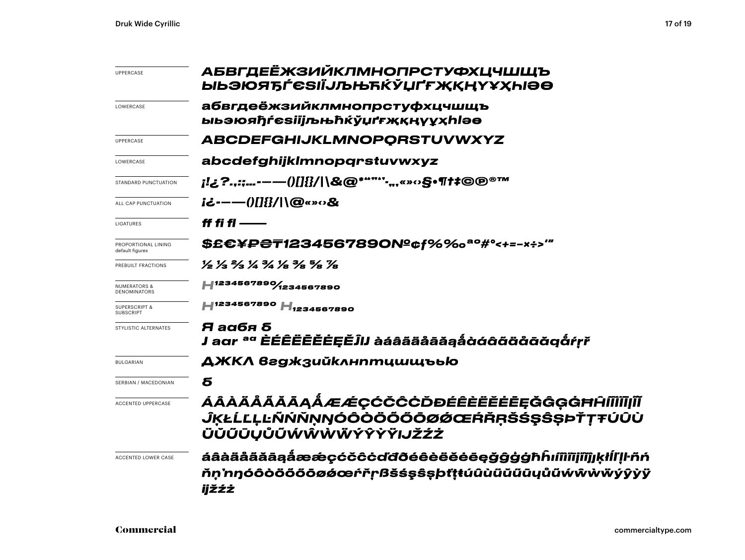| UPPERCASE                                      | АБВГДЕЁЖЗИЙКЛМНОПРСТУФХЦЧШЩЪ<br>ЫЬЭЮЯЂЃЄЅІЇЈЉЊЋЌЎЏҐҒ <b>ҖҚҢҮҰ</b> ҲҺІӘӨ                                                |  |  |
|------------------------------------------------|------------------------------------------------------------------------------------------------------------------------|--|--|
| LOWERCASE                                      | абвгдеёжзийклмнопрстуфхцчшщъ<br><b>ыьэюяђѓеѕіїјљњћќўџґғҗқңүұҳһlәө</b>                                                  |  |  |
| <b>UPPERCASE</b>                               | <b>ABCDEFGHIJKLMNOPORSTUVWXYZ</b>                                                                                      |  |  |
| LOWERCASE                                      | abcdefghijklmnopqrstuvwxyz                                                                                             |  |  |
| STANDARD PUNCTUATION                           | ¡!¿?.,:;-—()[]{}/ \&@*""'''-",«»○§•¶†‡©®™                                                                              |  |  |
| ALL CAP PUNCTUATION                            | i¿---- ()[]{}/ \@«»o&                                                                                                  |  |  |
| LIGATURES                                      | ff fi fl $-\!\!-\!\!-$                                                                                                 |  |  |
| PROPORTIONAL LINING<br>default figures         | \$£€¥₽₴₸1234567890№¢f%‰ª°#°<+=-×÷>‴                                                                                    |  |  |
| PREBUILT FRACTIONS                             | 1/2 1/3 3/4 3/4 1/8 3/8 7/8 1/8                                                                                        |  |  |
| <b>NUMERATORS &amp;</b><br><b>DENOMINATORS</b> | H <sub>1234567890</sub> / <sub>1234567890</sub>                                                                        |  |  |
| <b>SUPERSCRIPT &amp;</b><br><b>SUBSCRIPT</b>   | H <sub>1234567890</sub> H <sub>1234567890</sub>                                                                        |  |  |
| STYLISTIC ALTERNATES                           | Я аабя б<br>J agr <sup>ag</sup> ÈÉÊËĒĔĔĖĘĚĴIJ àáâãäåāăąå̀àáâãäåāää@                                                    |  |  |
| <b>BULGARIAN</b>                               | ДЖКЛ вгджзийклнптцшщъью                                                                                                |  |  |
| SERBIAN / MACEDONIAN                           | б                                                                                                                      |  |  |
| <b>ACCENTED UPPERCASE</b>                      | ÁÂÀÄÅÃĂĀĄÅÆÆÇĆČĈĊĎĐÉÊÈËĔĒĘĞĜĢĠĦĤĨĨĬĪĮĨĬ<br><b>ĴĶŁĹĽĻĿÑŃŇŅŊÓÔŎŎŎŎŎØØŒŔŘŖŠŚŞŜŞÞŤŢŦÚÛÙ</b><br><b>ÜŬŨŪŲŮŨŴŴŴŴŶŶŶŸIJŽŹŻ</b> |  |  |
| ACCENTED LOWER CASE                            | áâàäåãăāąåææçćčĉċďđðéêèëĕėēęğĝģġħĥıíîìiījîĭĵjķłĺľļŀñń<br>ňņ'nŋóôòööööøǿœŕřṛßšśşŝşþťṭŧúûùüŭũųůũẃŵẁẅÿŷỳÿ<br>ijžźż        |  |  |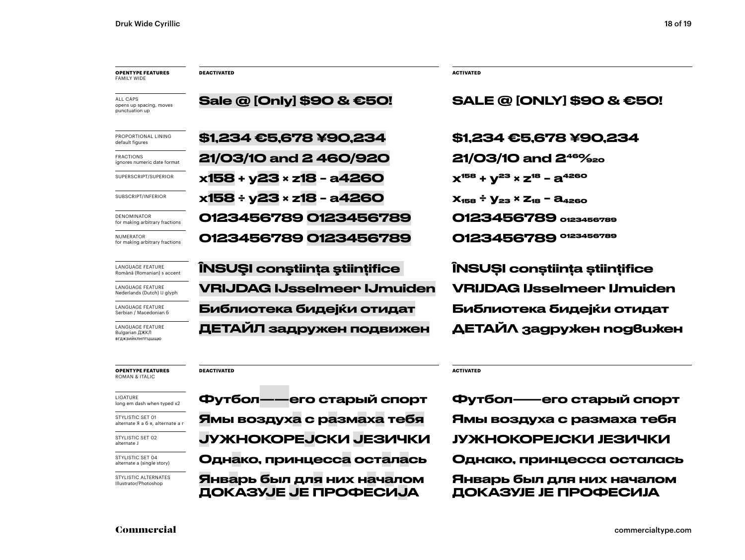LANGUAGE FEATURE Bulgarian ДЖКЛ вгджзийклнптцшщю

FRACTIONS

NUMERATOR

| <b>OPENTYPE FEATURES</b><br>FAMILY WIDE               | <b>DEACTIVATED</b>                 | <b>ACTIVATED</b>                               |
|-------------------------------------------------------|------------------------------------|------------------------------------------------|
| ALL CAPS<br>opens up spacing, moves<br>punctuation up | Sale @ [Only] \$90 & €50!          | <b>SALE @ [ONLY] \$90 &amp; €50!</b>           |
| PROPORTIONAL LINING<br>default figures                | \$1,234 €5,678 ¥90,234             | \$1,234 €5,678 ¥90,234                         |
| FRACTIONS<br>ignores numeric date format              | 21/03/10 and 2460/920              | 21/03/10 and 2 <sup>46%</sup> 20               |
| SUPERSCRIPT/SUPERIOR                                  | x158 + y23 × z18 - a4260           | $X^{158} + V^{23} \times Z^{18} - 2^{4260}$    |
| SUBSCRIPT/INFERIOR                                    | x158 ÷ y23 × z18 - a4260           | $X_{158} \div Y_{23} \times Z_{18} - A_{4260}$ |
| DENOMINATOR<br>for making arbitrary fractions         | 0123456789 0123456789              | O123456789 0123456789                          |
| NUMERATOR<br>for making arbitrary fractions           | 0123456789 0123456789              | O123456789 0123456789                          |
| LANGUAGE FEATURE<br>Română (Romanian) s accent        | ÎNSUȘI conștiința științifice      | ÎNSUȘI conștiința științifice                  |
| LANGUAGE FEATURE<br>Nederlands (Dutch) IJ glyph       | <b>VRIJDAG IJsselmeer IJmuiden</b> | <b>VRIJDAG IJsselmeer IJmuiden</b>             |
| LANGUAGE FEATURE<br>Serbian / Macedonian 6            | Библиотека бидејќи отидат          | Библиотека бидејќи отидат                      |
| LANGUAGE FEATURE<br>Bulgarian ДЖКЛ                    | ДЕТАЙЛ задружен подвижен           | ДЕТАЙЛ задружен nog6uжен                       |

### **OPENTYPE FEATURES** ROMAN & ITALIC

| LIGATURE                   |  |
|----------------------------|--|
| long em dash when typed x2 |  |

STYLISTIC SET 01 alternate Я а б я, alternate a r

STYLISTIC SET 02 alternate J

STYLISTIC SET 04 alternate a (single story)

STYLISTIC ALTERNATES Illustrator/Photoshop

Ямы воздуха с размаха тебя Ямы воздуха с размаха тебя ЈУЖНОКОРЕЈСКИ ЈЕЗИЧКИ ЈУЖНОКОРЕЈСКИ ЈЕЗИЧКИ Январь был для них началом ДОКАЗУЈЕ ЈЕ ПРОФЕСИЈА

### **DEACTIVATED ACTIVATED**

Однако, принцесса осталась Однако, принцесса осталась Январь был для них началом ДОКАЗУЈЕ ЈЕ ПРОФЕСИЈА Футбол——его старый спорт Футбол——его старый спорт